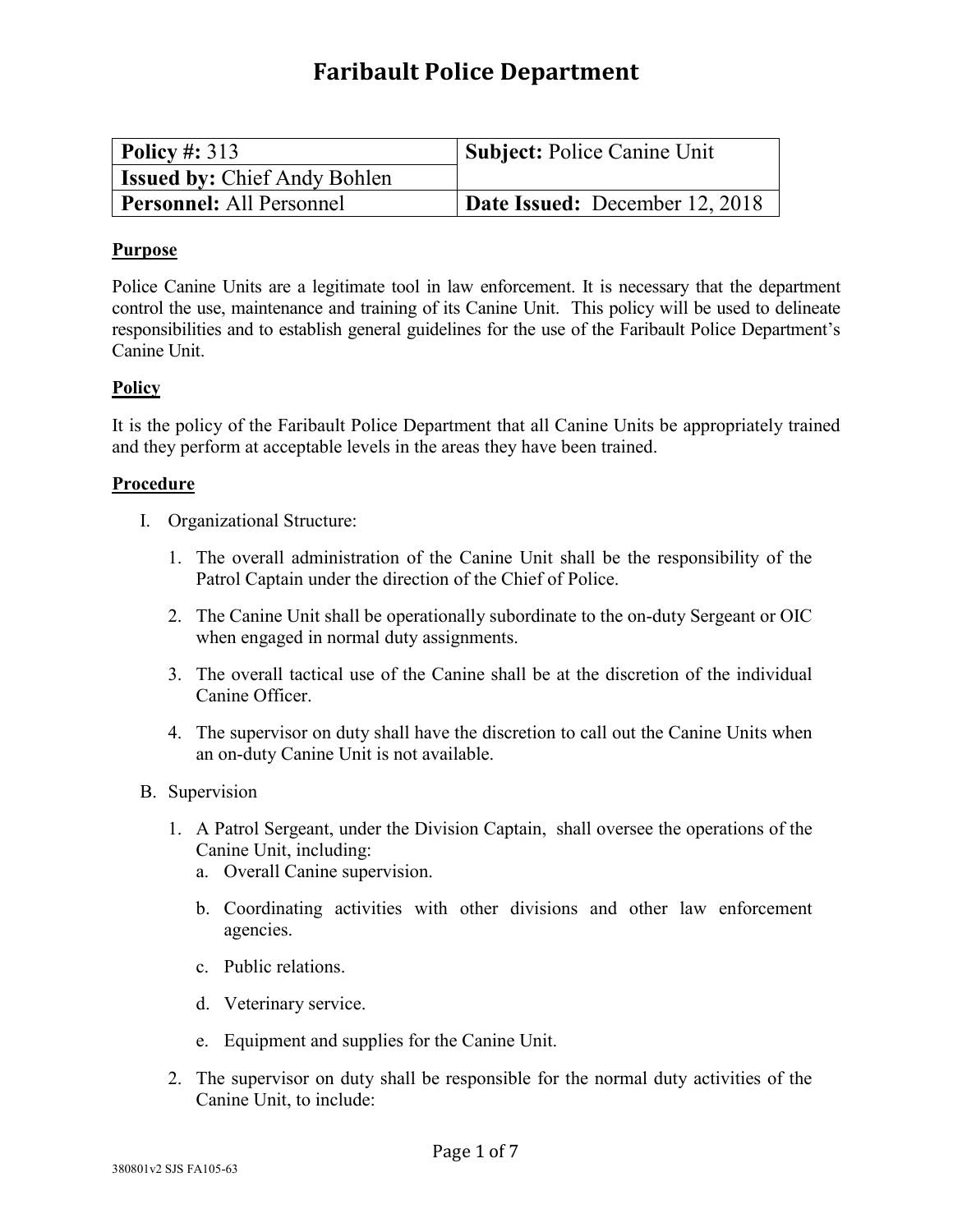## **Faribault Police Department**

| Policy #: $313$                     | <b>Subject: Police Canine Unit</b> |
|-------------------------------------|------------------------------------|
| <b>Issued by: Chief Andy Bohlen</b> |                                    |
| <b>Personnel:</b> All Personnel     | Date Issued: December 12, 2018     |

## **Purpose**

Police Canine Units are a legitimate tool in law enforcement. It is necessary that the department control the use, maintenance and training of its Canine Unit. This policy will be used to delineate responsibilities and to establish general guidelines for the use of the Faribault Police Department's Canine Unit.

## **Policy**

It is the policy of the Faribault Police Department that all Canine Units be appropriately trained and they perform at acceptable levels in the areas they have been trained.

## **Procedure**

- I. Organizational Structure:
	- 1. The overall administration of the Canine Unit shall be the responsibility of the Patrol Captain under the direction of the Chief of Police.
	- 2. The Canine Unit shall be operationally subordinate to the on-duty Sergeant or OIC when engaged in normal duty assignments.
	- 3. The overall tactical use of the Canine shall be at the discretion of the individual Canine Officer.
	- 4. The supervisor on duty shall have the discretion to call out the Canine Units when an on-duty Canine Unit is not available.
- B. Supervision
	- 1. A Patrol Sergeant, under the Division Captain, shall oversee the operations of the Canine Unit, including:
		- a. Overall Canine supervision.
		- b. Coordinating activities with other divisions and other law enforcement agencies.
		- c. Public relations.
		- d. Veterinary service.
		- e. Equipment and supplies for the Canine Unit.
	- 2. The supervisor on duty shall be responsible for the normal duty activities of the Canine Unit, to include: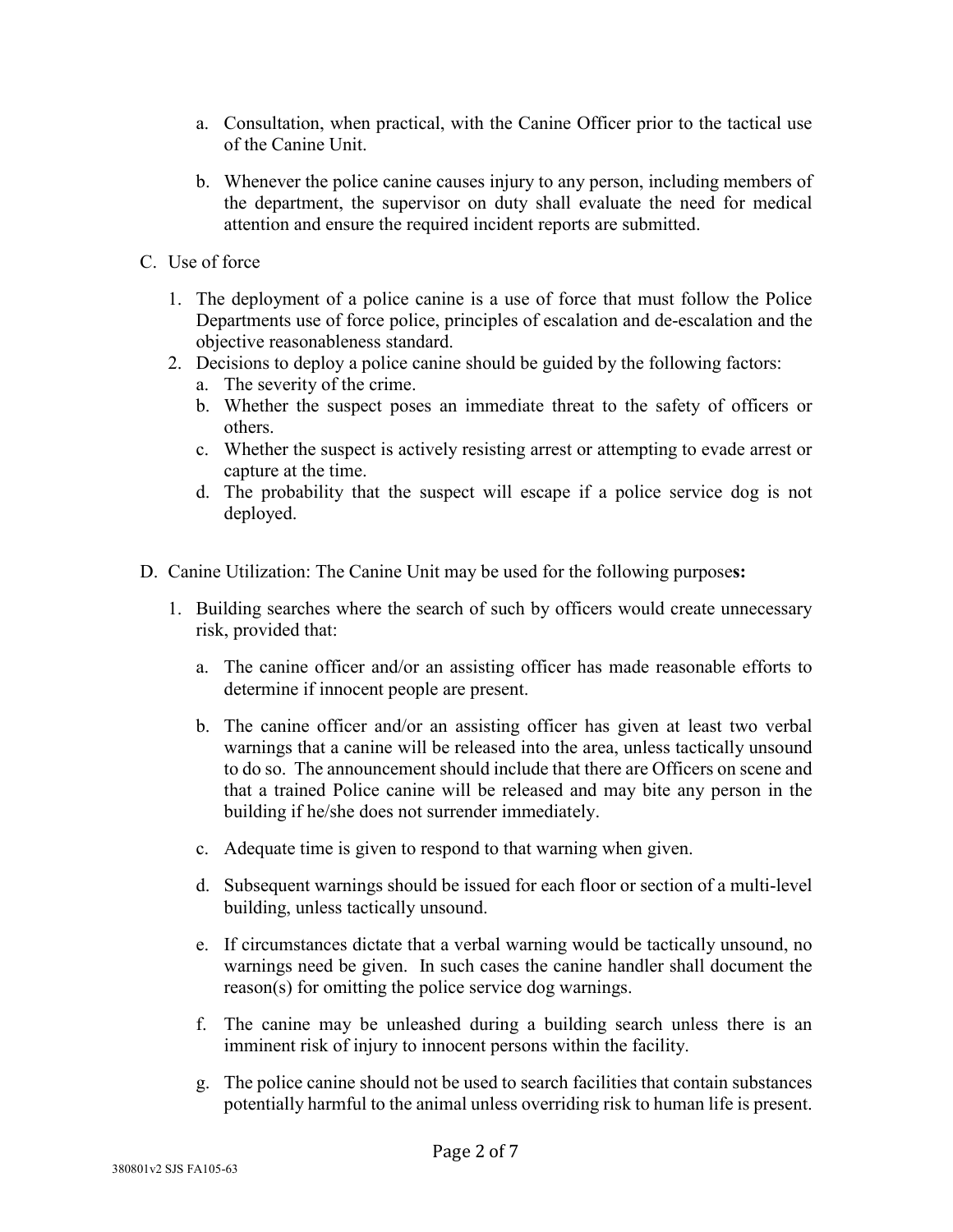- a. Consultation, when practical, with the Canine Officer prior to the tactical use of the Canine Unit.
- b. Whenever the police canine causes injury to any person, including members of the department, the supervisor on duty shall evaluate the need for medical attention and ensure the required incident reports are submitted.
- C. Use of force
	- 1. The deployment of a police canine is a use of force that must follow the Police Departments use of force police, principles of escalation and de-escalation and the objective reasonableness standard.
	- 2. Decisions to deploy a police canine should be guided by the following factors:
		- a. The severity of the crime.
		- b. Whether the suspect poses an immediate threat to the safety of officers or others.
		- c. Whether the suspect is actively resisting arrest or attempting to evade arrest or capture at the time.
		- d. The probability that the suspect will escape if a police service dog is not deployed.
- D. Canine Utilization: The Canine Unit may be used for the following purpose**s:**
	- 1. Building searches where the search of such by officers would create unnecessary risk, provided that:
		- a. The canine officer and/or an assisting officer has made reasonable efforts to determine if innocent people are present.
		- b. The canine officer and/or an assisting officer has given at least two verbal warnings that a canine will be released into the area, unless tactically unsound to do so. The announcement should include that there are Officers on scene and that a trained Police canine will be released and may bite any person in the building if he/she does not surrender immediately.
		- c. Adequate time is given to respond to that warning when given.
		- d. Subsequent warnings should be issued for each floor or section of a multi-level building, unless tactically unsound.
		- e. If circumstances dictate that a verbal warning would be tactically unsound, no warnings need be given. In such cases the canine handler shall document the reason(s) for omitting the police service dog warnings.
		- f. The canine may be unleashed during a building search unless there is an imminent risk of injury to innocent persons within the facility.
		- g. The police canine should not be used to search facilities that contain substances potentially harmful to the animal unless overriding risk to human life is present.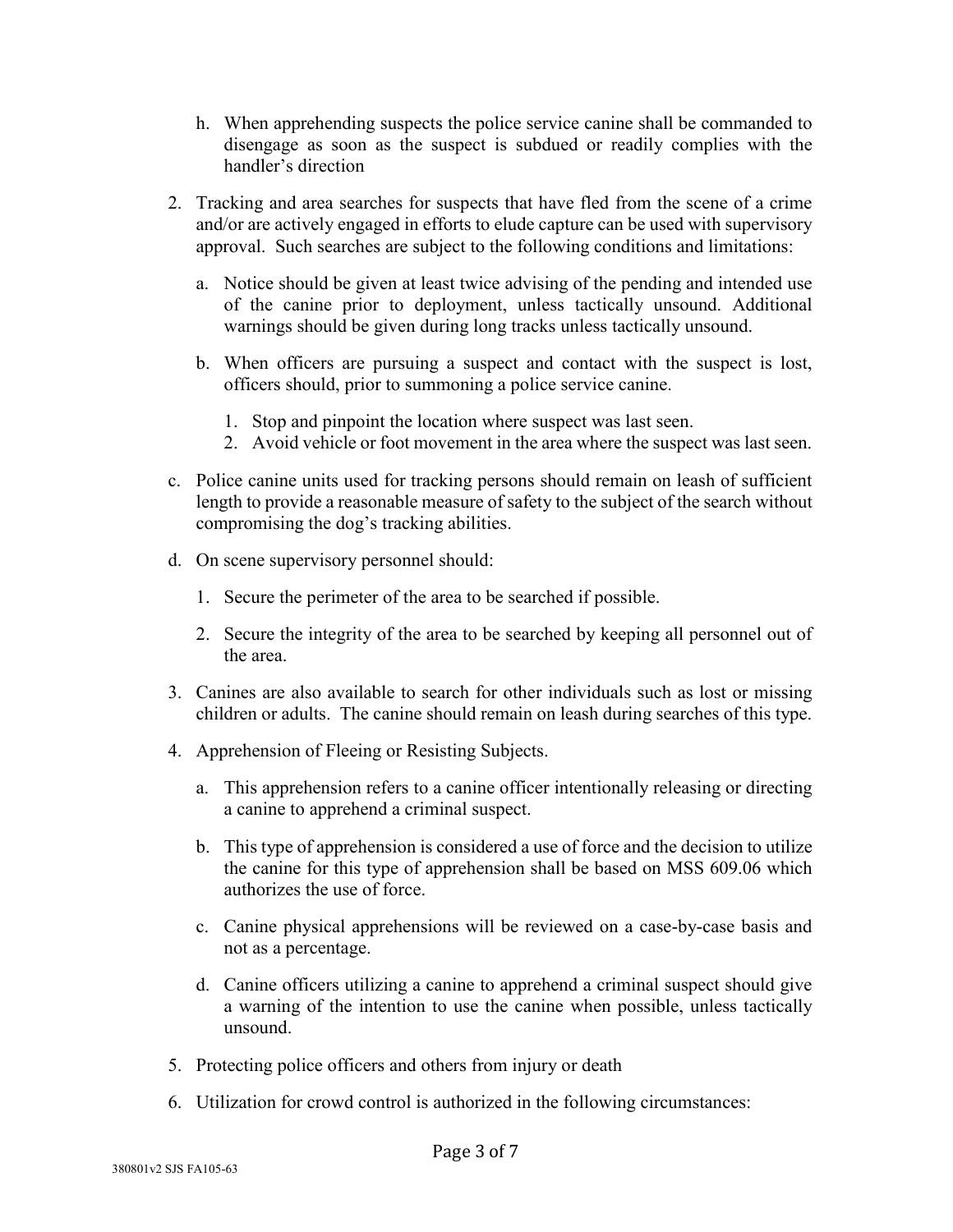- h. When apprehending suspects the police service canine shall be commanded to disengage as soon as the suspect is subdued or readily complies with the handler's direction
- 2. Tracking and area searches for suspects that have fled from the scene of a crime and/or are actively engaged in efforts to elude capture can be used with supervisory approval. Such searches are subject to the following conditions and limitations:
	- a. Notice should be given at least twice advising of the pending and intended use of the canine prior to deployment, unless tactically unsound. Additional warnings should be given during long tracks unless tactically unsound.
	- b. When officers are pursuing a suspect and contact with the suspect is lost, officers should, prior to summoning a police service canine.
		- 1. Stop and pinpoint the location where suspect was last seen.
		- 2. Avoid vehicle or foot movement in the area where the suspect was last seen.
- c. Police canine units used for tracking persons should remain on leash of sufficient length to provide a reasonable measure of safety to the subject of the search without compromising the dog's tracking abilities.
- d. On scene supervisory personnel should:
	- 1. Secure the perimeter of the area to be searched if possible.
	- 2. Secure the integrity of the area to be searched by keeping all personnel out of the area.
- 3. Canines are also available to search for other individuals such as lost or missing children or adults. The canine should remain on leash during searches of this type.
- 4. Apprehension of Fleeing or Resisting Subjects.
	- a. This apprehension refers to a canine officer intentionally releasing or directing a canine to apprehend a criminal suspect.
	- b. This type of apprehension is considered a use of force and the decision to utilize the canine for this type of apprehension shall be based on MSS 609.06 which authorizes the use of force.
	- c. Canine physical apprehensions will be reviewed on a case-by-case basis and not as a percentage.
	- d. Canine officers utilizing a canine to apprehend a criminal suspect should give a warning of the intention to use the canine when possible, unless tactically unsound.
- 5. Protecting police officers and others from injury or death
- 6. Utilization for crowd control is authorized in the following circumstances: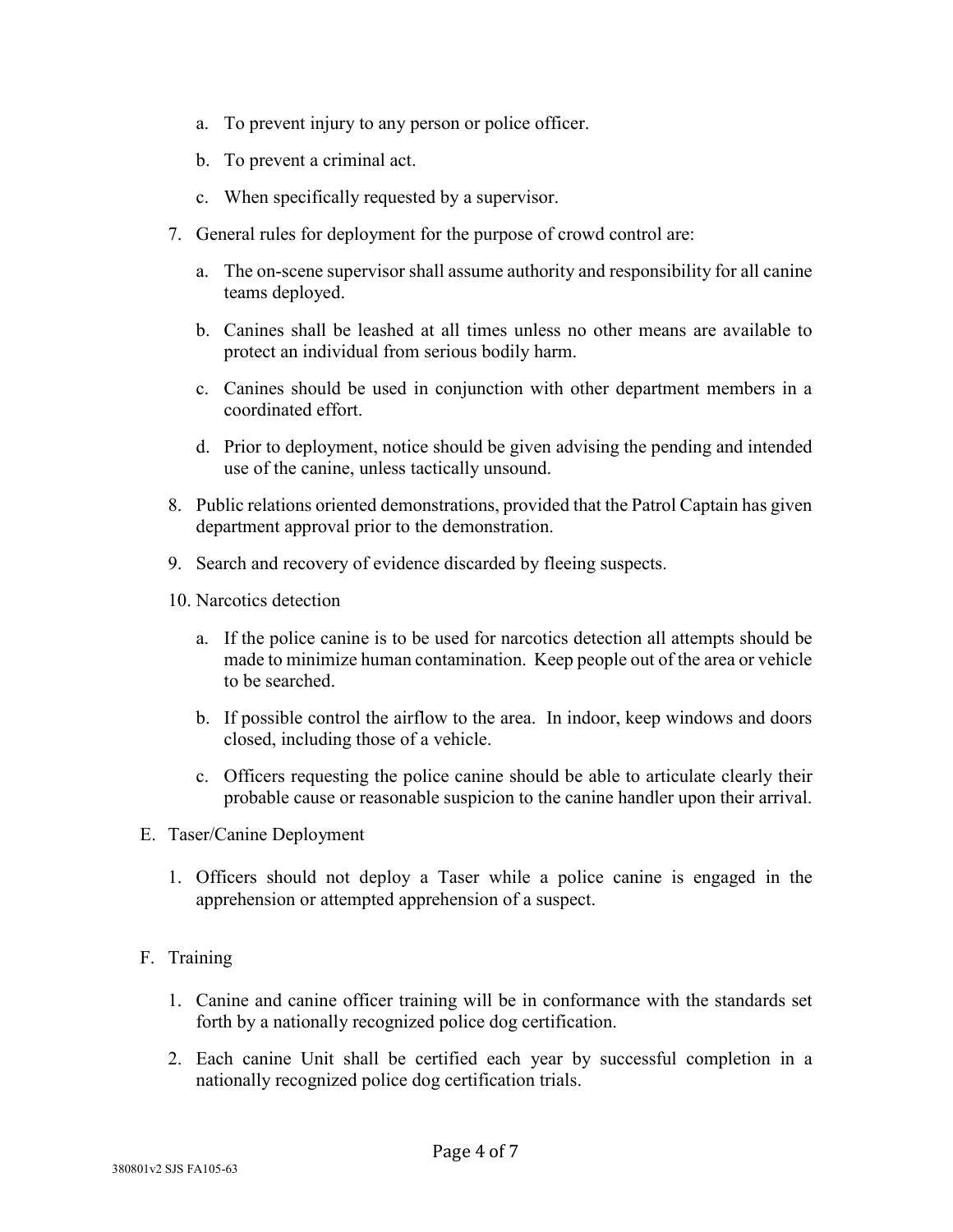- a. To prevent injury to any person or police officer.
- b. To prevent a criminal act.
- c. When specifically requested by a supervisor.
- 7. General rules for deployment for the purpose of crowd control are:
	- a. The on-scene supervisor shall assume authority and responsibility for all canine teams deployed.
	- b. Canines shall be leashed at all times unless no other means are available to protect an individual from serious bodily harm.
	- c. Canines should be used in conjunction with other department members in a coordinated effort.
	- d. Prior to deployment, notice should be given advising the pending and intended use of the canine, unless tactically unsound.
- 8. Public relations oriented demonstrations, provided that the Patrol Captain has given department approval prior to the demonstration.
- 9. Search and recovery of evidence discarded by fleeing suspects.
- 10. Narcotics detection
	- a. If the police canine is to be used for narcotics detection all attempts should be made to minimize human contamination. Keep people out of the area or vehicle to be searched.
	- b. If possible control the airflow to the area. In indoor, keep windows and doors closed, including those of a vehicle.
	- c. Officers requesting the police canine should be able to articulate clearly their probable cause or reasonable suspicion to the canine handler upon their arrival.
- E. Taser/Canine Deployment
	- 1. Officers should not deploy a Taser while a police canine is engaged in the apprehension or attempted apprehension of a suspect.
- F. Training
	- 1. Canine and canine officer training will be in conformance with the standards set forth by a nationally recognized police dog certification.
	- 2. Each canine Unit shall be certified each year by successful completion in a nationally recognized police dog certification trials.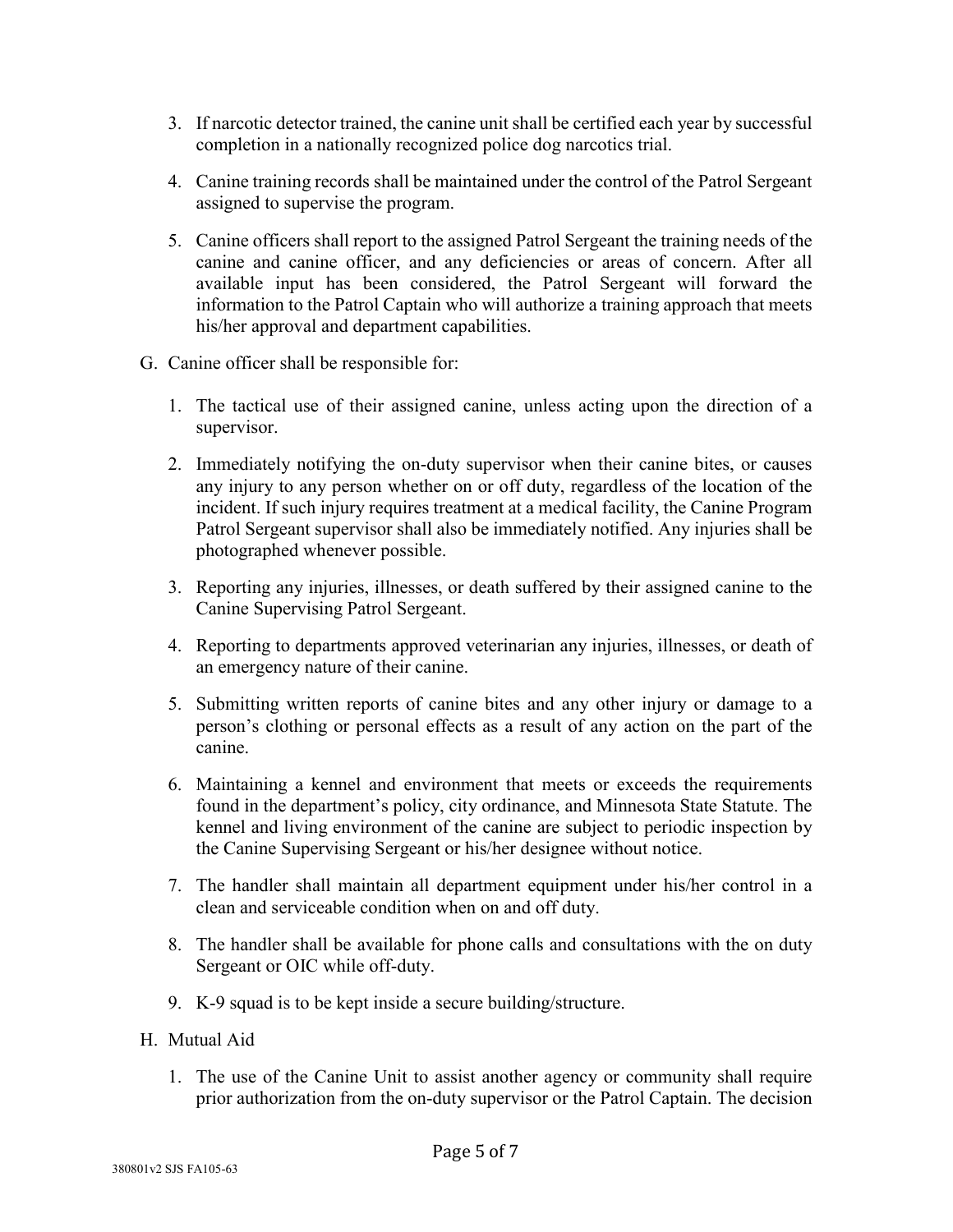- 3. If narcotic detector trained, the canine unit shall be certified each year by successful completion in a nationally recognized police dog narcotics trial.
- 4. Canine training records shall be maintained under the control of the Patrol Sergeant assigned to supervise the program.
- 5. Canine officers shall report to the assigned Patrol Sergeant the training needs of the canine and canine officer, and any deficiencies or areas of concern. After all available input has been considered, the Patrol Sergeant will forward the information to the Patrol Captain who will authorize a training approach that meets his/her approval and department capabilities.
- G. Canine officer shall be responsible for:
	- 1. The tactical use of their assigned canine, unless acting upon the direction of a supervisor.
	- 2. Immediately notifying the on-duty supervisor when their canine bites, or causes any injury to any person whether on or off duty, regardless of the location of the incident. If such injury requires treatment at a medical facility, the Canine Program Patrol Sergeant supervisor shall also be immediately notified. Any injuries shall be photographed whenever possible.
	- 3. Reporting any injuries, illnesses, or death suffered by their assigned canine to the Canine Supervising Patrol Sergeant.
	- 4. Reporting to departments approved veterinarian any injuries, illnesses, or death of an emergency nature of their canine.
	- 5. Submitting written reports of canine bites and any other injury or damage to a person's clothing or personal effects as a result of any action on the part of the canine.
	- 6. Maintaining a kennel and environment that meets or exceeds the requirements found in the department's policy, city ordinance, and Minnesota State Statute. The kennel and living environment of the canine are subject to periodic inspection by the Canine Supervising Sergeant or his/her designee without notice.
	- 7. The handler shall maintain all department equipment under his/her control in a clean and serviceable condition when on and off duty.
	- 8. The handler shall be available for phone calls and consultations with the on duty Sergeant or OIC while off-duty.
	- 9. K-9 squad is to be kept inside a secure building/structure.
- H. Mutual Aid
	- 1. The use of the Canine Unit to assist another agency or community shall require prior authorization from the on-duty supervisor or the Patrol Captain. The decision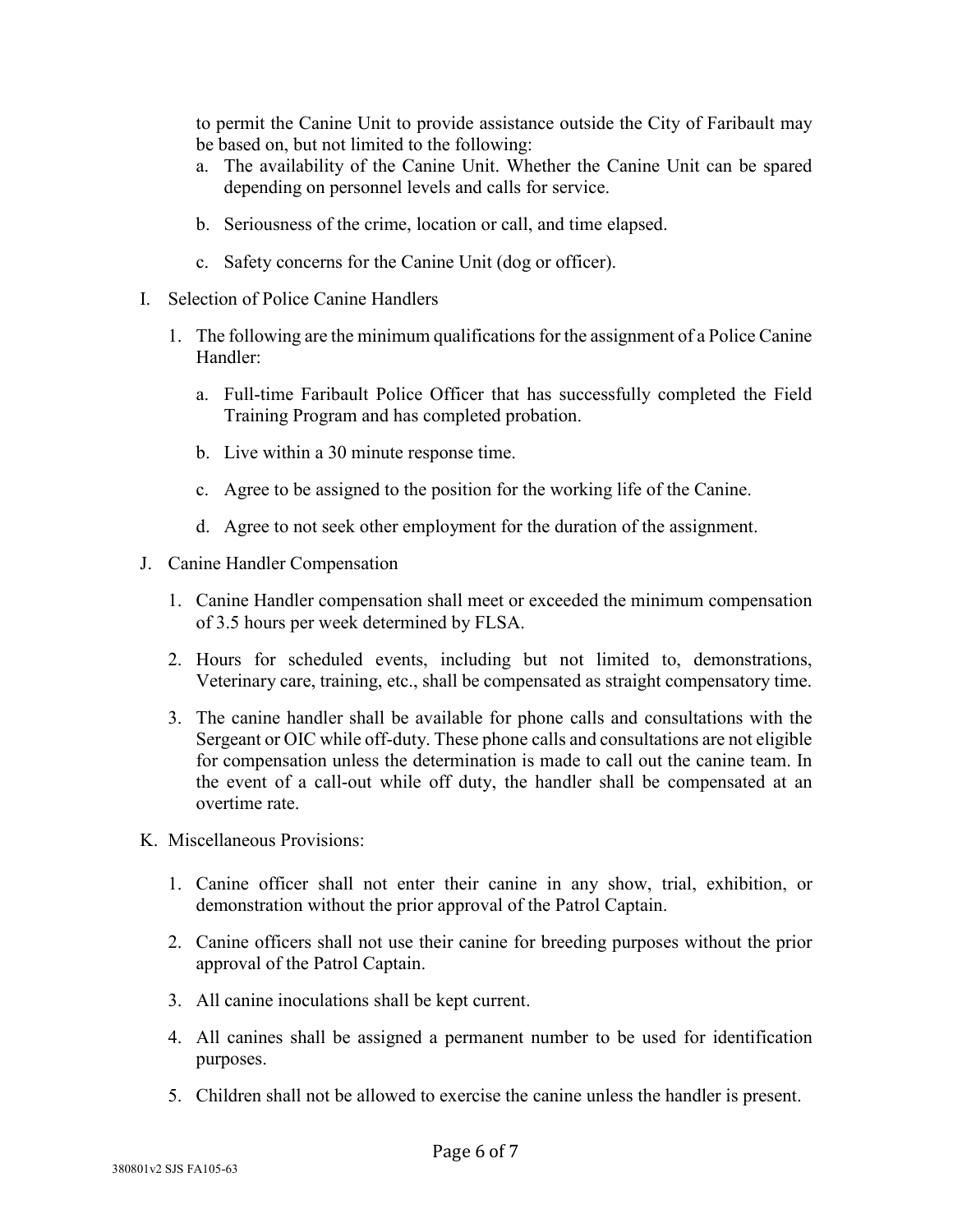to permit the Canine Unit to provide assistance outside the City of Faribault may be based on, but not limited to the following:

- a. The availability of the Canine Unit. Whether the Canine Unit can be spared depending on personnel levels and calls for service.
- b. Seriousness of the crime, location or call, and time elapsed.
- c. Safety concerns for the Canine Unit (dog or officer).
- I. Selection of Police Canine Handlers
	- 1. The following are the minimum qualifications for the assignment of a Police Canine Handler:
		- a. Full-time Faribault Police Officer that has successfully completed the Field Training Program and has completed probation.
		- b. Live within a 30 minute response time.
		- c. Agree to be assigned to the position for the working life of the Canine.
		- d. Agree to not seek other employment for the duration of the assignment.
- J. Canine Handler Compensation
	- 1. Canine Handler compensation shall meet or exceeded the minimum compensation of 3.5 hours per week determined by FLSA.
	- 2. Hours for scheduled events, including but not limited to, demonstrations, Veterinary care, training, etc., shall be compensated as straight compensatory time.
	- 3. The canine handler shall be available for phone calls and consultations with the Sergeant or OIC while off-duty. These phone calls and consultations are not eligible for compensation unless the determination is made to call out the canine team. In the event of a call-out while off duty, the handler shall be compensated at an overtime rate.
- K. Miscellaneous Provisions:
	- 1. Canine officer shall not enter their canine in any show, trial, exhibition, or demonstration without the prior approval of the Patrol Captain.
	- 2. Canine officers shall not use their canine for breeding purposes without the prior approval of the Patrol Captain.
	- 3. All canine inoculations shall be kept current.
	- 4. All canines shall be assigned a permanent number to be used for identification purposes.
	- 5. Children shall not be allowed to exercise the canine unless the handler is present.